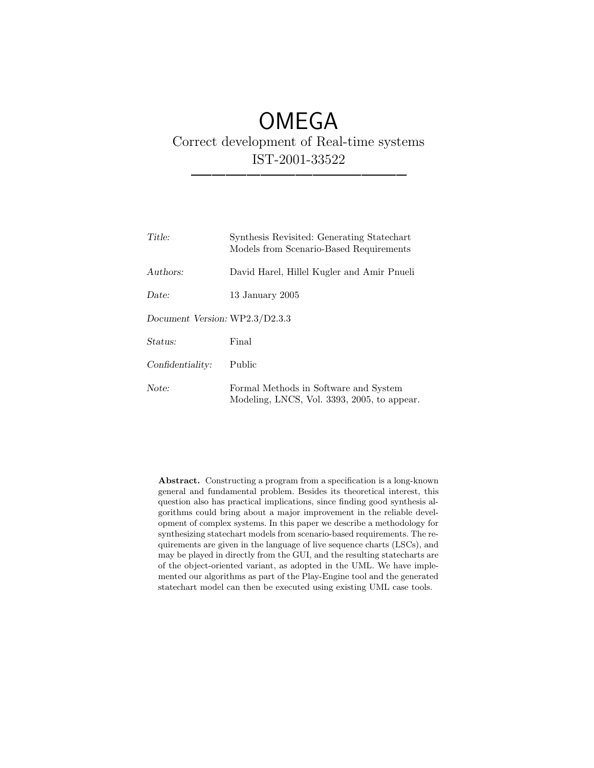# OMEGA Correct development of Real-time systems IST-2001-33522

| Title:                           | Synthesis Revisited: Generating Statechart<br>Models from Scenario-Based Requirements |
|----------------------------------|---------------------------------------------------------------------------------------|
| Authors:                         | David Harel, Hillel Kugler and Amir Pnueli                                            |
| Date:                            | 13 January 2005                                                                       |
| Document Version: $WP2.3/D2.3.3$ |                                                                                       |
| Status:                          | Final                                                                                 |
| Confidentiality:                 | Public                                                                                |
| Note:                            | Formal Methods in Software and System<br>Modeling, LNCS, Vol. 3393, 2005, to appear.  |

Abstract. Constructing a program from a specification is a long-known general and fundamental problem. Besides its theoretical interest, this question also has practical implications, since finding good synthesis algorithms could bring about a major improvement in the reliable development of complex systems. In this paper we describe a methodology for synthesizing statechart models from scenario-based requirements. The requirements are given in the language of live sequence charts (LSCs), and may be played in directly from the GUI, and the resulting statecharts are of the object-oriented variant, as adopted in the UML. We have implemented our algorithms as part of the Play-Engine tool and the generated statechart model can then be executed using existing UML case tools.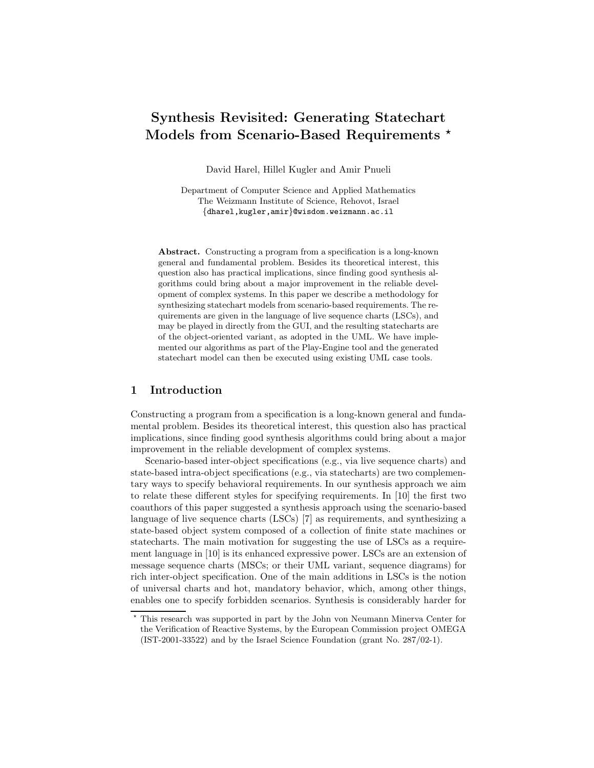# Synthesis Revisited: Generating Statechart Models from Scenario-Based Requirements  $\star$

David Harel, Hillel Kugler and Amir Pnueli

Department of Computer Science and Applied Mathematics The Weizmann Institute of Science, Rehovot, Israel {dharel,kugler,amir}@wisdom.weizmann.ac.il

Abstract. Constructing a program from a specification is a long-known general and fundamental problem. Besides its theoretical interest, this question also has practical implications, since finding good synthesis algorithms could bring about a major improvement in the reliable development of complex systems. In this paper we describe a methodology for synthesizing statechart models from scenario-based requirements. The requirements are given in the language of live sequence charts (LSCs), and may be played in directly from the GUI, and the resulting statecharts are of the object-oriented variant, as adopted in the UML. We have implemented our algorithms as part of the Play-Engine tool and the generated statechart model can then be executed using existing UML case tools.

#### 1 Introduction

Constructing a program from a specification is a long-known general and fundamental problem. Besides its theoretical interest, this question also has practical implications, since finding good synthesis algorithms could bring about a major improvement in the reliable development of complex systems.

Scenario-based inter-object specifications (e.g., via live sequence charts) and state-based intra-object specifications (e.g., via statecharts) are two complementary ways to specify behavioral requirements. In our synthesis approach we aim to relate these different styles for specifying requirements. In [10] the first two coauthors of this paper suggested a synthesis approach using the scenario-based language of live sequence charts (LSCs) [7] as requirements, and synthesizing a state-based object system composed of a collection of finite state machines or statecharts. The main motivation for suggesting the use of LSCs as a requirement language in [10] is its enhanced expressive power. LSCs are an extension of message sequence charts (MSCs; or their UML variant, sequence diagrams) for rich inter-object specification. One of the main additions in LSCs is the notion of universal charts and hot, mandatory behavior, which, among other things, enables one to specify forbidden scenarios. Synthesis is considerably harder for

 $^\star$  This research was supported in part by the John von Neumann Minerva Center for the Verification of Reactive Systems, by the European Commission project OMEGA (IST-2001-33522) and by the Israel Science Foundation (grant No. 287/02-1).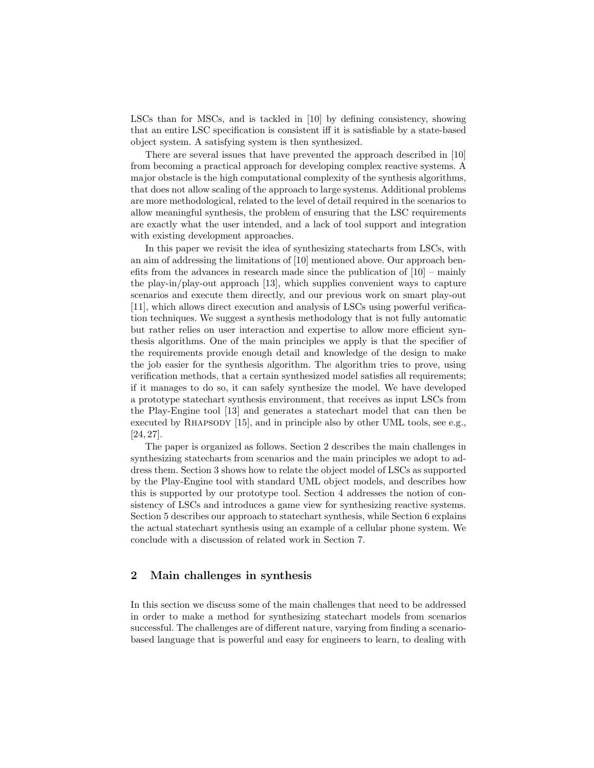LSCs than for MSCs, and is tackled in [10] by defining consistency, showing that an entire LSC specification is consistent iff it is satisfiable by a state-based object system. A satisfying system is then synthesized.

There are several issues that have prevented the approach described in [10] from becoming a practical approach for developing complex reactive systems. A major obstacle is the high computational complexity of the synthesis algorithms, that does not allow scaling of the approach to large systems. Additional problems are more methodological, related to the level of detail required in the scenarios to allow meaningful synthesis, the problem of ensuring that the LSC requirements are exactly what the user intended, and a lack of tool support and integration with existing development approaches.

In this paper we revisit the idea of synthesizing statecharts from LSCs, with an aim of addressing the limitations of [10] mentioned above. Our approach benefits from the advances in research made since the publication of  $[10]$  – mainly the play-in/play-out approach [13], which supplies convenient ways to capture scenarios and execute them directly, and our previous work on smart play-out [11], which allows direct execution and analysis of LSCs using powerful verification techniques. We suggest a synthesis methodology that is not fully automatic but rather relies on user interaction and expertise to allow more efficient synthesis algorithms. One of the main principles we apply is that the specifier of the requirements provide enough detail and knowledge of the design to make the job easier for the synthesis algorithm. The algorithm tries to prove, using verification methods, that a certain synthesized model satisfies all requirements; if it manages to do so, it can safely synthesize the model. We have developed a prototype statechart synthesis environment, that receives as input LSCs from the Play-Engine tool [13] and generates a statechart model that can then be executed by RHAPSODY [15], and in principle also by other UML tools, see e.g., [24, 27].

The paper is organized as follows. Section 2 describes the main challenges in synthesizing statecharts from scenarios and the main principles we adopt to address them. Section 3 shows how to relate the object model of LSCs as supported by the Play-Engine tool with standard UML object models, and describes how this is supported by our prototype tool. Section 4 addresses the notion of consistency of LSCs and introduces a game view for synthesizing reactive systems. Section 5 describes our approach to statechart synthesis, while Section 6 explains the actual statechart synthesis using an example of a cellular phone system. We conclude with a discussion of related work in Section 7.

### 2 Main challenges in synthesis

In this section we discuss some of the main challenges that need to be addressed in order to make a method for synthesizing statechart models from scenarios successful. The challenges are of different nature, varying from finding a scenariobased language that is powerful and easy for engineers to learn, to dealing with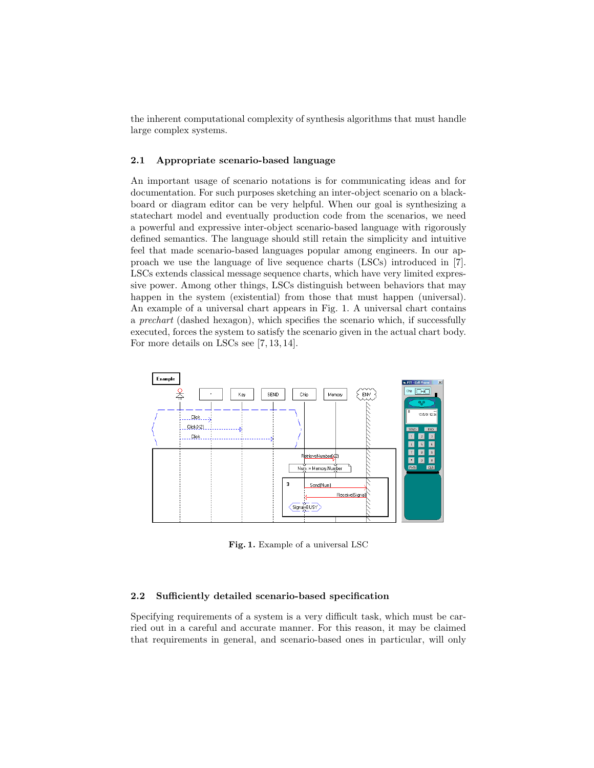the inherent computational complexity of synthesis algorithms that must handle large complex systems.

#### 2.1 Appropriate scenario-based language

An important usage of scenario notations is for communicating ideas and for documentation. For such purposes sketching an inter-object scenario on a blackboard or diagram editor can be very helpful. When our goal is synthesizing a statechart model and eventually production code from the scenarios, we need a powerful and expressive inter-object scenario-based language with rigorously defined semantics. The language should still retain the simplicity and intuitive feel that made scenario-based languages popular among engineers. In our approach we use the language of live sequence charts (LSCs) introduced in [7]. LSCs extends classical message sequence charts, which have very limited expressive power. Among other things, LSCs distinguish between behaviors that may happen in the system (existential) from those that must happen (universal). An example of a universal chart appears in Fig. 1. A universal chart contains a prechart (dashed hexagon), which specifies the scenario which, if successfully executed, forces the system to satisfy the scenario given in the actual chart body. For more details on LSCs see [7, 13, 14].



Fig. 1. Example of a universal LSC

#### 2.2 Sufficiently detailed scenario-based specification

Specifying requirements of a system is a very difficult task, which must be carried out in a careful and accurate manner. For this reason, it may be claimed that requirements in general, and scenario-based ones in particular, will only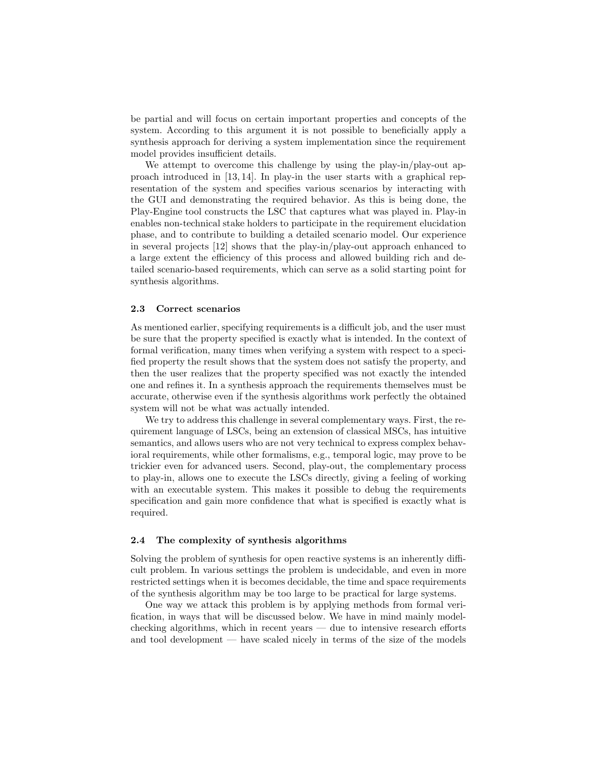be partial and will focus on certain important properties and concepts of the system. According to this argument it is not possible to beneficially apply a synthesis approach for deriving a system implementation since the requirement model provides insufficient details.

We attempt to overcome this challenge by using the play-in/play-out approach introduced in [13, 14]. In play-in the user starts with a graphical representation of the system and specifies various scenarios by interacting with the GUI and demonstrating the required behavior. As this is being done, the Play-Engine tool constructs the LSC that captures what was played in. Play-in enables non-technical stake holders to participate in the requirement elucidation phase, and to contribute to building a detailed scenario model. Our experience in several projects [12] shows that the play-in/play-out approach enhanced to a large extent the efficiency of this process and allowed building rich and detailed scenario-based requirements, which can serve as a solid starting point for synthesis algorithms.

#### 2.3 Correct scenarios

As mentioned earlier, specifying requirements is a difficult job, and the user must be sure that the property specified is exactly what is intended. In the context of formal verification, many times when verifying a system with respect to a specified property the result shows that the system does not satisfy the property, and then the user realizes that the property specified was not exactly the intended one and refines it. In a synthesis approach the requirements themselves must be accurate, otherwise even if the synthesis algorithms work perfectly the obtained system will not be what was actually intended.

We try to address this challenge in several complementary ways. First, the requirement language of LSCs, being an extension of classical MSCs, has intuitive semantics, and allows users who are not very technical to express complex behavioral requirements, while other formalisms, e.g., temporal logic, may prove to be trickier even for advanced users. Second, play-out, the complementary process to play-in, allows one to execute the LSCs directly, giving a feeling of working with an executable system. This makes it possible to debug the requirements specification and gain more confidence that what is specified is exactly what is required.

#### 2.4 The complexity of synthesis algorithms

Solving the problem of synthesis for open reactive systems is an inherently difficult problem. In various settings the problem is undecidable, and even in more restricted settings when it is becomes decidable, the time and space requirements of the synthesis algorithm may be too large to be practical for large systems.

One way we attack this problem is by applying methods from formal verification, in ways that will be discussed below. We have in mind mainly modelchecking algorithms, which in recent years — due to intensive research efforts and tool development — have scaled nicely in terms of the size of the models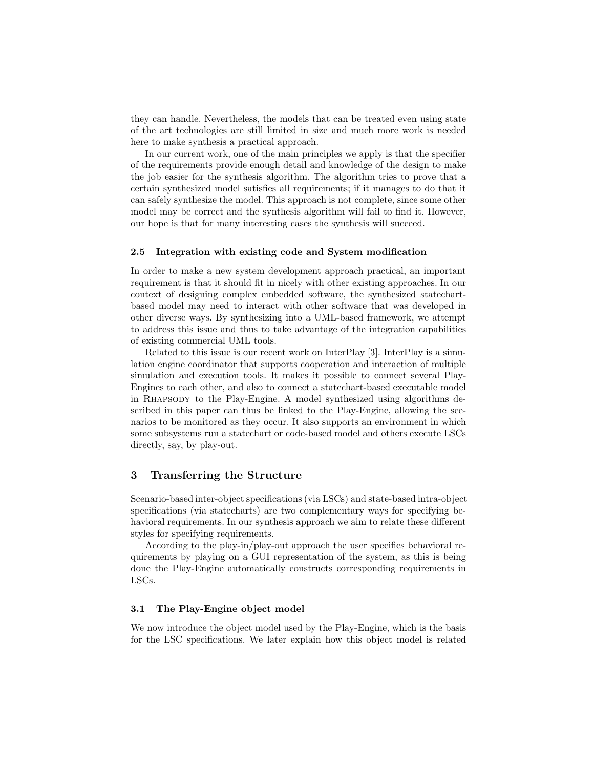they can handle. Nevertheless, the models that can be treated even using state of the art technologies are still limited in size and much more work is needed here to make synthesis a practical approach.

In our current work, one of the main principles we apply is that the specifier of the requirements provide enough detail and knowledge of the design to make the job easier for the synthesis algorithm. The algorithm tries to prove that a certain synthesized model satisfies all requirements; if it manages to do that it can safely synthesize the model. This approach is not complete, since some other model may be correct and the synthesis algorithm will fail to find it. However, our hope is that for many interesting cases the synthesis will succeed.

#### 2.5 Integration with existing code and System modification

In order to make a new system development approach practical, an important requirement is that it should fit in nicely with other existing approaches. In our context of designing complex embedded software, the synthesized statechartbased model may need to interact with other software that was developed in other diverse ways. By synthesizing into a UML-based framework, we attempt to address this issue and thus to take advantage of the integration capabilities of existing commercial UML tools.

Related to this issue is our recent work on InterPlay [3]. InterPlay is a simulation engine coordinator that supports cooperation and interaction of multiple simulation and execution tools. It makes it possible to connect several Play-Engines to each other, and also to connect a statechart-based executable model in Rhapsody to the Play-Engine. A model synthesized using algorithms described in this paper can thus be linked to the Play-Engine, allowing the scenarios to be monitored as they occur. It also supports an environment in which some subsystems run a statechart or code-based model and others execute LSCs directly, say, by play-out.

#### 3 Transferring the Structure

Scenario-based inter-object specifications (via LSCs) and state-based intra-object specifications (via statecharts) are two complementary ways for specifying behavioral requirements. In our synthesis approach we aim to relate these different styles for specifying requirements.

According to the play-in/play-out approach the user specifies behavioral requirements by playing on a GUI representation of the system, as this is being done the Play-Engine automatically constructs corresponding requirements in LSCs.

#### 3.1 The Play-Engine object model

We now introduce the object model used by the Play-Engine, which is the basis for the LSC specifications. We later explain how this object model is related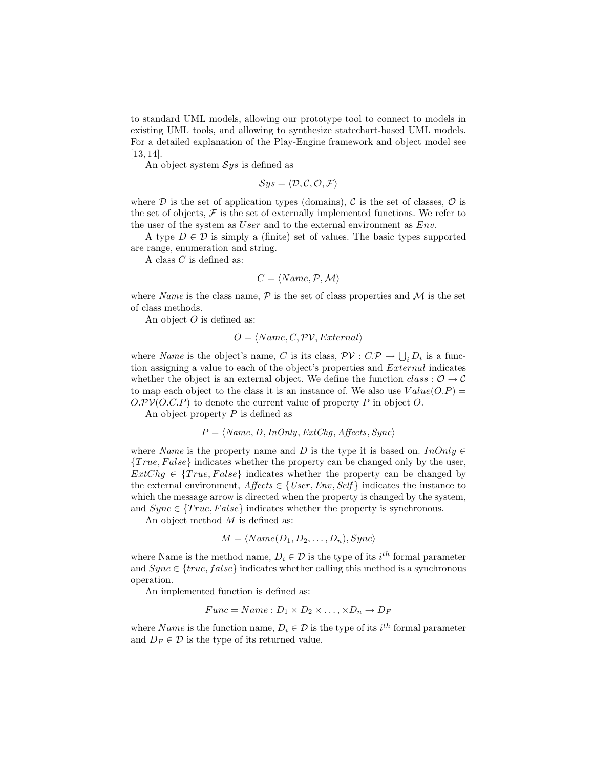to standard UML models, allowing our prototype tool to connect to models in existing UML tools, and allowing to synthesize statechart-based UML models. For a detailed explanation of the Play-Engine framework and object model see [13, 14].

An object system  $\mathcal{S}ys$  is defined as

$$
\mathcal{S}ys = \langle \mathcal{D}, \mathcal{C}, \mathcal{O}, \mathcal{F} \rangle
$$

where  $D$  is the set of application types (domains),  $C$  is the set of classes,  $O$  is the set of objects,  $\mathcal F$  is the set of externally implemented functions. We refer to the user of the system as  $User$  and to the external environment as  $Env$ .

A type  $D \in \mathcal{D}$  is simply a (finite) set of values. The basic types supported are range, enumeration and string.

A class  $C$  is defined as:

$$
C = \langle Name, \mathcal{P}, \mathcal{M} \rangle
$$

where Name is the class name,  $P$  is the set of class properties and M is the set of class methods.

An object  $O$  is defined as:

$$
O = \langle Name, C, \mathcal{PV}, External \rangle
$$

where *Name* is the object's name, C is its class,  $PV : C.P \rightarrow \bigcup_i D_i$  is a function assigning a value to each of the object's properties and External indicates whether the object is an external object. We define the function  $class: \mathcal{O} \rightarrow \mathcal{C}$ to map each object to the class it is an instance of. We also use  $Value(O.P)$  =  $O.PV(O.C.P)$  to denote the current value of property P in object O.

An object property  $P$  is defined as

$$
P = \langle Name, D, InOnly, ExtChg, Affects, Sync \rangle
$$

where Name is the property name and D is the type it is based on. InOnly  $\in$  ${True, False}$  indicates whether the property can be changed only by the user,  $ExtChg \in \{True, False\}$  indicates whether the property can be changed by the external environment,  $Affects \in \{User, Env, Self\}$  indicates the instance to which the message arrow is directed when the property is changed by the system, and  $Sync \in \{True, False\}$  indicates whether the property is synchronous.

An object method  $M$  is defined as:

$$
M = \langle Name(D_1, D_2, \ldots, D_n), Sync \rangle
$$

where Name is the method name,  $D_i \in \mathcal{D}$  is the type of its  $i^{th}$  formal parameter and  $Sync \in \{true, false\}$  indicates whether calling this method is a synchronous operation.

An implemented function is defined as:

$$
Func = Name : D_1 \times D_2 \times \dots \times D_n \to D_F
$$

where Name is the function name,  $D_i \in \mathcal{D}$  is the type of its  $i^{th}$  formal parameter and  $D_F \in \mathcal{D}$  is the type of its returned value.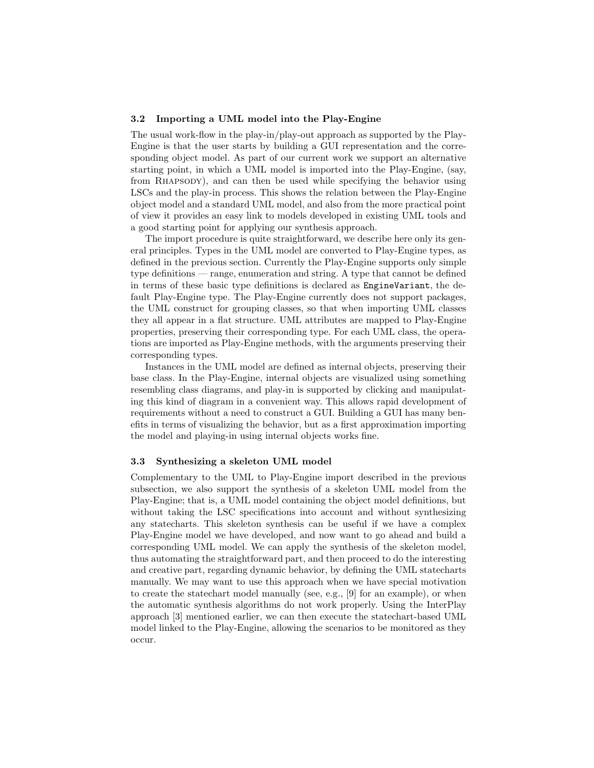#### 3.2 Importing a UML model into the Play-Engine

The usual work-flow in the play-in/play-out approach as supported by the Play-Engine is that the user starts by building a GUI representation and the corresponding object model. As part of our current work we support an alternative starting point, in which a UML model is imported into the Play-Engine, (say, from Rhapsody), and can then be used while specifying the behavior using LSCs and the play-in process. This shows the relation between the Play-Engine object model and a standard UML model, and also from the more practical point of view it provides an easy link to models developed in existing UML tools and a good starting point for applying our synthesis approach.

The import procedure is quite straightforward, we describe here only its general principles. Types in the UML model are converted to Play-Engine types, as defined in the previous section. Currently the Play-Engine supports only simple type definitions — range, enumeration and string. A type that cannot be defined in terms of these basic type definitions is declared as EngineVariant, the default Play-Engine type. The Play-Engine currently does not support packages, the UML construct for grouping classes, so that when importing UML classes they all appear in a flat structure. UML attributes are mapped to Play-Engine properties, preserving their corresponding type. For each UML class, the operations are imported as Play-Engine methods, with the arguments preserving their corresponding types.

Instances in the UML model are defined as internal objects, preserving their base class. In the Play-Engine, internal objects are visualized using something resembling class diagrams, and play-in is supported by clicking and manipulating this kind of diagram in a convenient way. This allows rapid development of requirements without a need to construct a GUI. Building a GUI has many benefits in terms of visualizing the behavior, but as a first approximation importing the model and playing-in using internal objects works fine.

#### 3.3 Synthesizing a skeleton UML model

Complementary to the UML to Play-Engine import described in the previous subsection, we also support the synthesis of a skeleton UML model from the Play-Engine; that is, a UML model containing the object model definitions, but without taking the LSC specifications into account and without synthesizing any statecharts. This skeleton synthesis can be useful if we have a complex Play-Engine model we have developed, and now want to go ahead and build a corresponding UML model. We can apply the synthesis of the skeleton model, thus automating the straightforward part, and then proceed to do the interesting and creative part, regarding dynamic behavior, by defining the UML statecharts manually. We may want to use this approach when we have special motivation to create the statechart model manually (see, e.g., [9] for an example), or when the automatic synthesis algorithms do not work properly. Using the InterPlay approach [3] mentioned earlier, we can then execute the statechart-based UML model linked to the Play-Engine, allowing the scenarios to be monitored as they occur.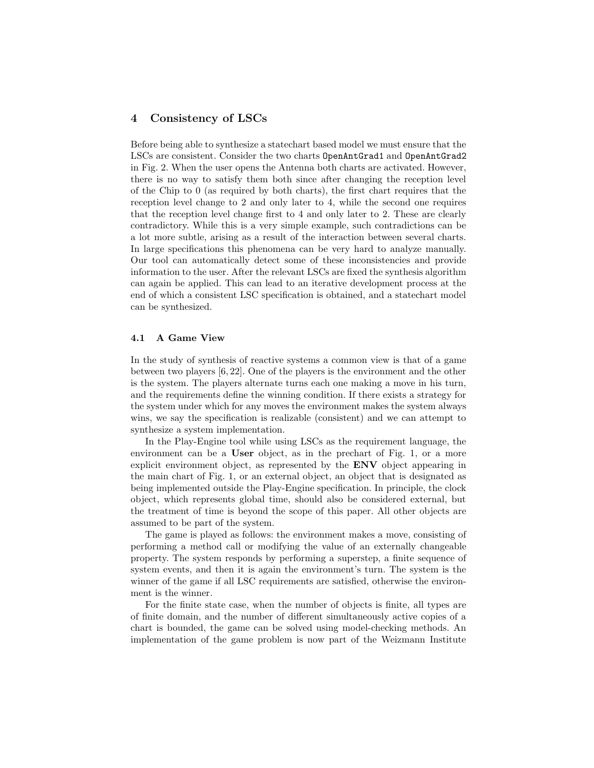#### 4 Consistency of LSCs

Before being able to synthesize a statechart based model we must ensure that the LSCs are consistent. Consider the two charts OpenAntGrad1 and OpenAntGrad2 in Fig. 2. When the user opens the Antenna both charts are activated. However, there is no way to satisfy them both since after changing the reception level of the Chip to 0 (as required by both charts), the first chart requires that the reception level change to 2 and only later to 4, while the second one requires that the reception level change first to 4 and only later to 2. These are clearly contradictory. While this is a very simple example, such contradictions can be a lot more subtle, arising as a result of the interaction between several charts. In large specifications this phenomena can be very hard to analyze manually. Our tool can automatically detect some of these inconsistencies and provide information to the user. After the relevant LSCs are fixed the synthesis algorithm can again be applied. This can lead to an iterative development process at the end of which a consistent LSC specification is obtained, and a statechart model can be synthesized.

#### 4.1 A Game View

In the study of synthesis of reactive systems a common view is that of a game between two players [6, 22]. One of the players is the environment and the other is the system. The players alternate turns each one making a move in his turn, and the requirements define the winning condition. If there exists a strategy for the system under which for any moves the environment makes the system always wins, we say the specification is realizable (consistent) and we can attempt to synthesize a system implementation.

In the Play-Engine tool while using LSCs as the requirement language, the environment can be a User object, as in the prechart of Fig. 1, or a more explicit environment object, as represented by the ENV object appearing in the main chart of Fig. 1, or an external object, an object that is designated as being implemented outside the Play-Engine specification. In principle, the clock object, which represents global time, should also be considered external, but the treatment of time is beyond the scope of this paper. All other objects are assumed to be part of the system.

The game is played as follows: the environment makes a move, consisting of performing a method call or modifying the value of an externally changeable property. The system responds by performing a superstep, a finite sequence of system events, and then it is again the environment's turn. The system is the winner of the game if all LSC requirements are satisfied, otherwise the environment is the winner.

For the finite state case, when the number of objects is finite, all types are of finite domain, and the number of different simultaneously active copies of a chart is bounded, the game can be solved using model-checking methods. An implementation of the game problem is now part of the Weizmann Institute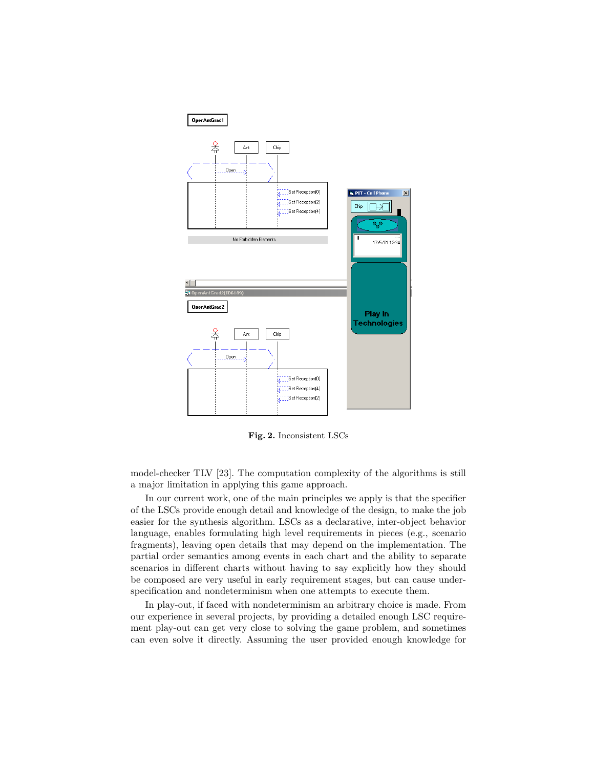

Fig. 2. Inconsistent LSCs

model-checker TLV [23]. The computation complexity of the algorithms is still a major limitation in applying this game approach.

In our current work, one of the main principles we apply is that the specifier of the LSCs provide enough detail and knowledge of the design, to make the job easier for the synthesis algorithm. LSCs as a declarative, inter-object behavior language, enables formulating high level requirements in pieces (e.g., scenario fragments), leaving open details that may depend on the implementation. The partial order semantics among events in each chart and the ability to separate scenarios in different charts without having to say explicitly how they should be composed are very useful in early requirement stages, but can cause underspecification and nondeterminism when one attempts to execute them.

In play-out, if faced with nondeterminism an arbitrary choice is made. From our experience in several projects, by providing a detailed enough LSC requirement play-out can get very close to solving the game problem, and sometimes can even solve it directly. Assuming the user provided enough knowledge for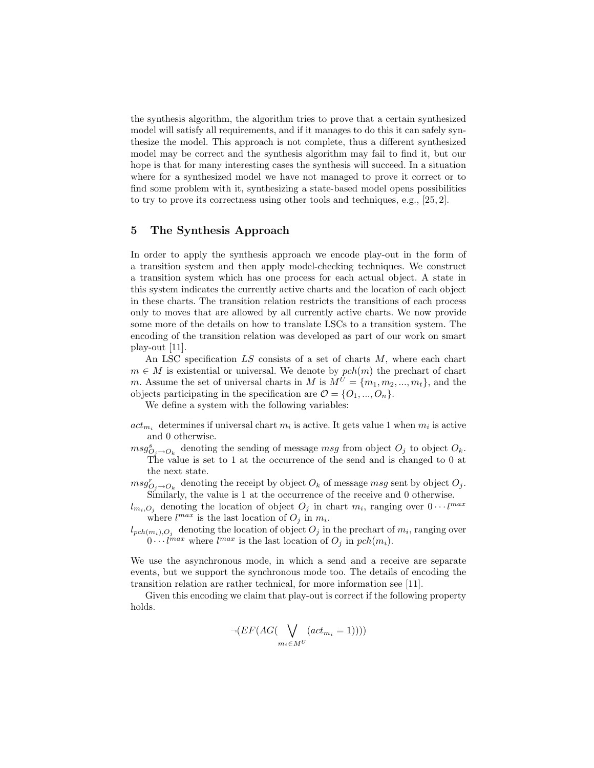the synthesis algorithm, the algorithm tries to prove that a certain synthesized model will satisfy all requirements, and if it manages to do this it can safely synthesize the model. This approach is not complete, thus a different synthesized model may be correct and the synthesis algorithm may fail to find it, but our hope is that for many interesting cases the synthesis will succeed. In a situation where for a synthesized model we have not managed to prove it correct or to find some problem with it, synthesizing a state-based model opens possibilities to try to prove its correctness using other tools and techniques, e.g., [25, 2].

#### 5 The Synthesis Approach

In order to apply the synthesis approach we encode play-out in the form of a transition system and then apply model-checking techniques. We construct a transition system which has one process for each actual object. A state in this system indicates the currently active charts and the location of each object in these charts. The transition relation restricts the transitions of each process only to moves that are allowed by all currently active charts. We now provide some more of the details on how to translate LSCs to a transition system. The encoding of the transition relation was developed as part of our work on smart play-out [11].

An LSC specification  $LS$  consists of a set of charts  $M$ , where each chart  $m \in M$  is existential or universal. We denote by  $pch(m)$  the prechart of chart m. Assume the set of universal charts in M is  $M^U = \{m_1, m_2, ..., m_t\}$ , and the objects participating in the specification are  $\mathcal{O} = \{O_1, ..., O_n\}.$ 

We define a system with the following variables:

- $act_{m_i}$  determines if universal chart  $m_i$  is active. It gets value 1 when  $m_i$  is active and 0 otherwise.
- $msg_{O_j\rightarrow O_k}^s$  denoting the sending of message msg from object  $O_j$  to object  $O_k$ . The value is set to 1 at the occurrence of the send and is changed to 0 at the next state.
- $msg^r_{O_j\rightarrow O_k}$  denoting the receipt by object  $O_k$  of message  $msg$  sent by object  $O_j$ . Similarly, the value is 1 at the occurrence of the receive and 0 otherwise.
- $l_{m_i,O_j}$  denoting the location of object  $O_j$  in chart  $m_i$ , ranging over  $0 \cdots l^{max}$ where  $l^{max}$  is the last location of  $O_j$  in  $m_i$ .
- $l_{pch(m_i),O_j}$  denoting the location of object  $O_j$  in the prechart of  $m_i$ , ranging over  $0 \cdots l^{max}$  where  $l^{max}$  is the last location of  $O_j$  in  $pch(m_i)$ .

We use the asynchronous mode, in which a send and a receive are separate events, but we support the synchronous mode too. The details of encoding the transition relation are rather technical, for more information see [11].

Given this encoding we claim that play-out is correct if the following property holds.

$$
\neg (EF(AG(\bigvee_{m_i \in M^U} (act_{m_i} = 1))))
$$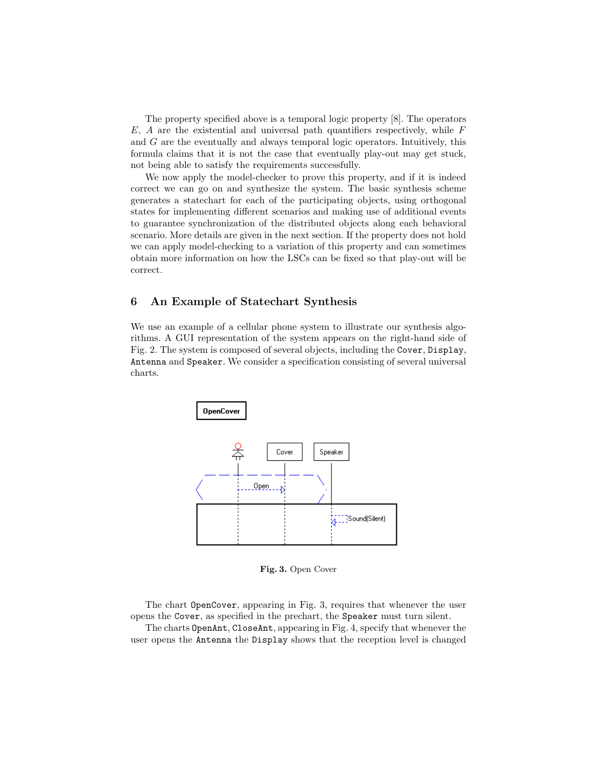The property specified above is a temporal logic property [8]. The operators  $E, A$  are the existential and universal path quantifiers respectively, while  $F$ and G are the eventually and always temporal logic operators. Intuitively, this formula claims that it is not the case that eventually play-out may get stuck, not being able to satisfy the requirements successfully.

We now apply the model-checker to prove this property, and if it is indeed correct we can go on and synthesize the system. The basic synthesis scheme generates a statechart for each of the participating objects, using orthogonal states for implementing different scenarios and making use of additional events to guarantee synchronization of the distributed objects along each behavioral scenario. More details are given in the next section. If the property does not hold we can apply model-checking to a variation of this property and can sometimes obtain more information on how the LSCs can be fixed so that play-out will be correct.

#### 6 An Example of Statechart Synthesis

We use an example of a cellular phone system to illustrate our synthesis algorithms. A GUI representation of the system appears on the right-hand side of Fig. 2. The system is composed of several objects, including the Cover, Display, Antenna and Speaker. We consider a specification consisting of several universal charts.



Fig. 3. Open Cover

The chart OpenCover, appearing in Fig. 3, requires that whenever the user opens the Cover, as specified in the prechart, the Speaker must turn silent.

The charts OpenAnt, CloseAnt, appearing in Fig. 4, specify that whenever the user opens the Antenna the Display shows that the reception level is changed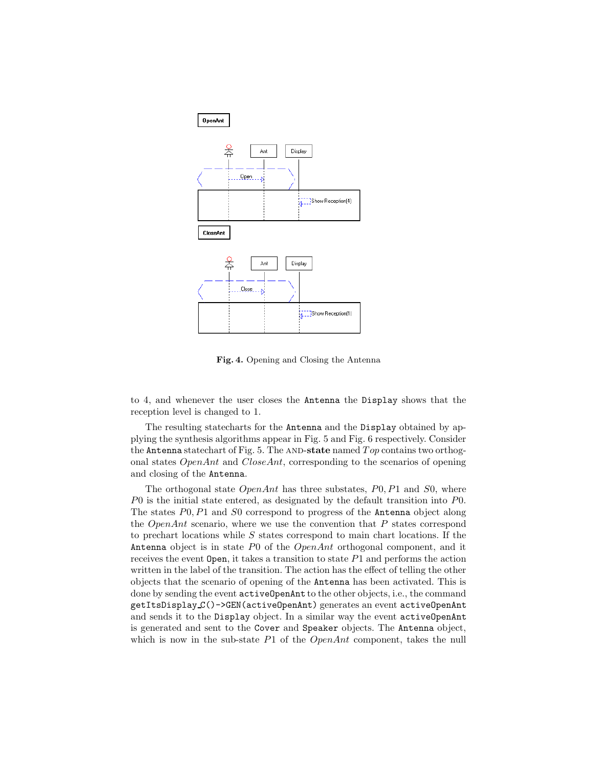

Fig. 4. Opening and Closing the Antenna

to 4, and whenever the user closes the Antenna the Display shows that the reception level is changed to 1.

The resulting statecharts for the Antenna and the Display obtained by applying the synthesis algorithms appear in Fig. 5 and Fig. 6 respectively. Consider the Antenna state chart of Fig. 5. The AND-state named  $Top$  contains two orthogonal states OpenAnt and CloseAnt, corresponding to the scenarios of opening and closing of the Antenna.

The orthogonal state  $OpenAnt$  has three substates,  $P_0$ ,  $P_1$  and  $S_0$ , where P0 is the initial state entered, as designated by the default transition into P0. The states P0, P1 and S0 correspond to progress of the Antenna object along the  $OpenAnt$  scenario, where we use the convention that  $P$  states correspond to prechart locations while  $S$  states correspond to main chart locations. If the Antenna object is in state P0 of the OpenAnt orthogonal component, and it receives the event  $Open$ , it takes a transition to state  $P1$  and performs the action written in the label of the transition. The action has the effect of telling the other objects that the scenario of opening of the Antenna has been activated. This is done by sending the event activeOpenAnt to the other objects, i.e., the command getItsDisplay C()->GEN(activeOpenAnt) generates an event activeOpenAnt and sends it to the Display object. In a similar way the event activeOpenAnt is generated and sent to the Cover and Speaker objects. The Antenna object, which is now in the sub-state  $P1$  of the  $OpenAnt$  component, takes the null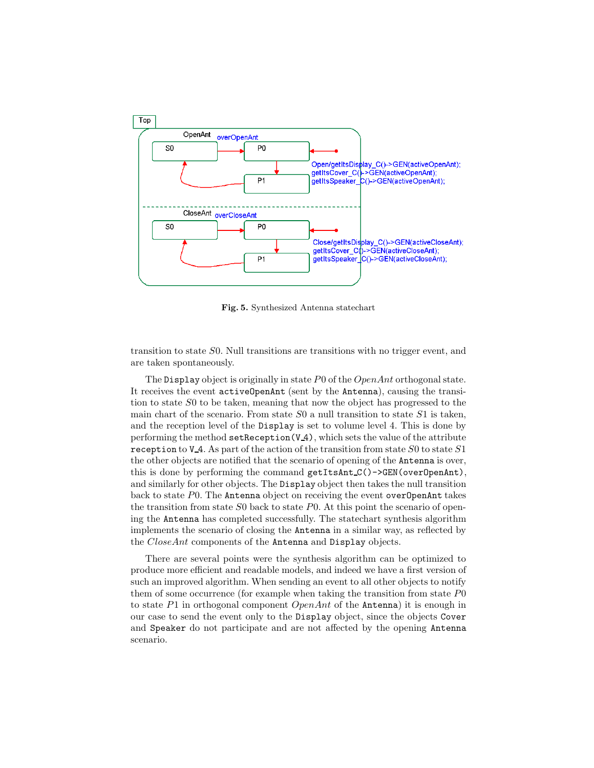

Fig. 5. Synthesized Antenna statechart

transition to state S0. Null transitions are transitions with no trigger event, and are taken spontaneously.

The Display object is originally in state P0 of the OpenAnt orthogonal state. It receives the event activeOpenAnt (sent by the Antenna), causing the transition to state S0 to be taken, meaning that now the object has progressed to the main chart of the scenario. From state  $S_0$  a null transition to state  $S_1$  is taken, and the reception level of the Display is set to volume level 4. This is done by performing the method  $setReception(V.4)$ , which sets the value of the attribute reception to V<sub>-4</sub>. As part of the action of the transition from state  $S_0$  to state  $S_1$ the other objects are notified that the scenario of opening of the Antenna is over, this is done by performing the command  $\texttt{getItsAnt_C}() \rightarrow \texttt{GEN}(\texttt{overOpenAnt}),$ and similarly for other objects. The Display object then takes the null transition back to state  $P0$ . The Antenna object on receiving the event overOpenAnt takes the transition from state  $S_0$  back to state  $P_0$ . At this point the scenario of opening the Antenna has completed successfully. The statechart synthesis algorithm implements the scenario of closing the Antenna in a similar way, as reflected by the *CloseAnt* components of the **Antenna** and **Display** objects.

There are several points were the synthesis algorithm can be optimized to produce more efficient and readable models, and indeed we have a first version of such an improved algorithm. When sending an event to all other objects to notify them of some occurrence (for example when taking the transition from state P0 to state P1 in orthogonal component *OpenAnt* of the **Antenna**) it is enough in our case to send the event only to the Display object, since the objects Cover and Speaker do not participate and are not affected by the opening Antenna scenario.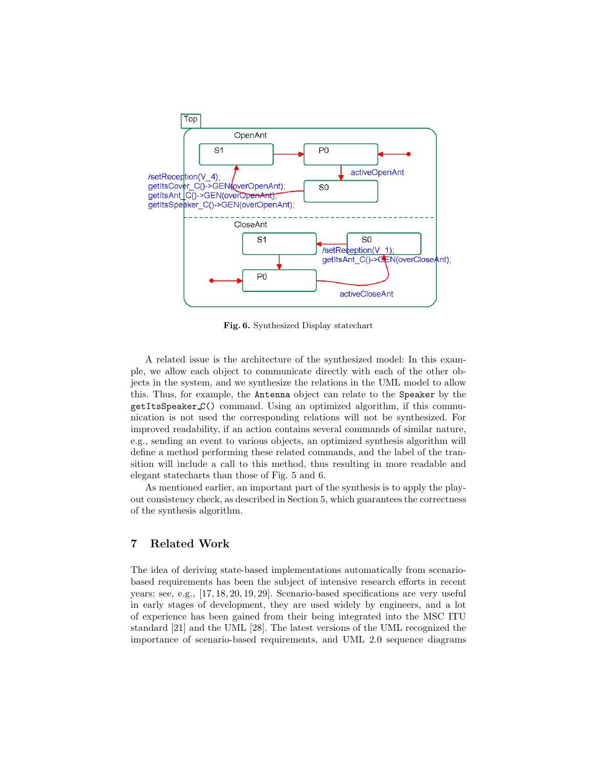

Fig. 6. Synthesized Display statechart

A related issue is the architecture of the synthesized model: In this example, we allow each object to communicate directly with each of the other objects in the system, and we synthesize the relations in the UML model to allow this. Thus, for example, the Antenna object can relate to the Speaker by the  $getItsSpeaker_C()$  command. Using an optimized algorithm, if this communication is not used the corresponding relations will not be synthesized. For improved readability, if an action contains several commands of similar nature, e.g., sending an event to various objects, an optimized synthesis algorithm will define a method performing these related commands, and the label of the transition will include a call to this method, thus resulting in more readable and elegant statecharts than those of Fig. 5 and 6.

As mentioned earlier, an important part of the synthesis is to apply the playout consistency check, as described in Section 5, which guarantees the correctness of the synthesis algorithm.

## 7 Related Work

The idea of deriving state-based implementations automatically from scenariobased requirements has been the subject of intensive research efforts in recent years; see, e.g., [17, 18, 20, 19, 29]. Scenario-based specifications are very useful in early stages of development, they are used widely by engineers, and a lot of experience has been gained from their being integrated into the MSC ITU standard [21] and the UML [28]. The latest versions of the UML recognized the importance of scenario-based requirements, and UML 2.0 sequence diagrams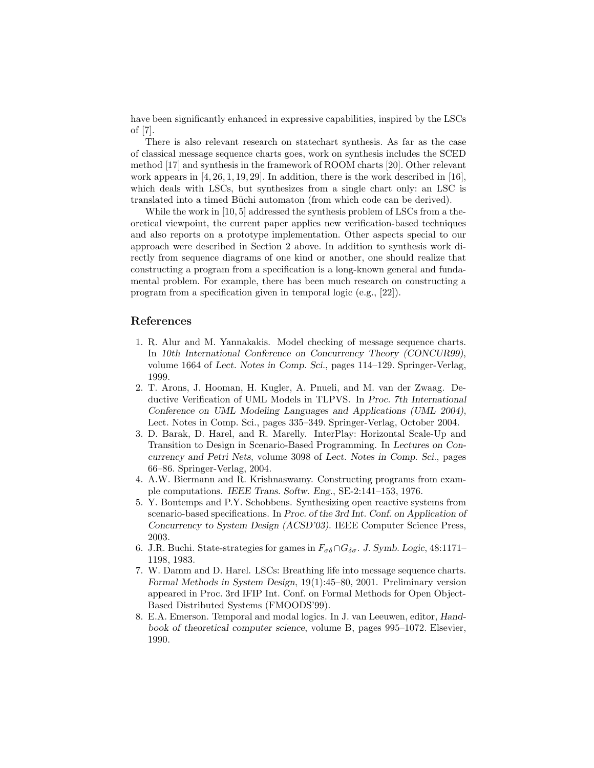have been significantly enhanced in expressive capabilities, inspired by the LSCs of [7].

There is also relevant research on statechart synthesis. As far as the case of classical message sequence charts goes, work on synthesis includes the SCED method [17] and synthesis in the framework of ROOM charts [20]. Other relevant work appears in [4, 26, 1, 19, 29]. In addition, there is the work described in [16], which deals with LSCs, but synthesizes from a single chart only: an LSC is translated into a timed Büchi automaton (from which code can be derived).

While the work in [10, 5] addressed the synthesis problem of LSCs from a theoretical viewpoint, the current paper applies new verification-based techniques and also reports on a prototype implementation. Other aspects special to our approach were described in Section 2 above. In addition to synthesis work directly from sequence diagrams of one kind or another, one should realize that constructing a program from a specification is a long-known general and fundamental problem. For example, there has been much research on constructing a program from a specification given in temporal logic (e.g., [22]).

#### References

- 1. R. Alur and M. Yannakakis. Model checking of message sequence charts. In 10th International Conference on Concurrency Theory (CONCUR99), volume 1664 of Lect. Notes in Comp. Sci., pages 114–129. Springer-Verlag, 1999.
- 2. T. Arons, J. Hooman, H. Kugler, A. Pnueli, and M. van der Zwaag. Deductive Verification of UML Models in TLPVS. In Proc. 7th International Conference on UML Modeling Languages and Applications (UML 2004), Lect. Notes in Comp. Sci., pages 335–349. Springer-Verlag, October 2004.
- 3. D. Barak, D. Harel, and R. Marelly. InterPlay: Horizontal Scale-Up and Transition to Design in Scenario-Based Programming. In Lectures on Concurrency and Petri Nets, volume 3098 of Lect. Notes in Comp. Sci., pages 66–86. Springer-Verlag, 2004.
- 4. A.W. Biermann and R. Krishnaswamy. Constructing programs from example computations. IEEE Trans. Softw. Eng., SE-2:141–153, 1976.
- 5. Y. Bontemps and P.Y. Schobbens. Synthesizing open reactive systems from scenario-based specifications. In Proc. of the 3rd Int. Conf. on Application of Concurrency to System Design (ACSD'03). IEEE Computer Science Press, 2003.
- 6. J.R. Buchi. State-strategies for games in  $F_{\sigma\delta} \cap G_{\delta\sigma}$ . J. Symb. Logic, 48:1171– 1198, 1983.
- 7. W. Damm and D. Harel. LSCs: Breathing life into message sequence charts. Formal Methods in System Design, 19(1):45–80, 2001. Preliminary version appeared in Proc. 3rd IFIP Int. Conf. on Formal Methods for Open Object-Based Distributed Systems (FMOODS'99).
- 8. E.A. Emerson. Temporal and modal logics. In J. van Leeuwen, editor, Handbook of theoretical computer science, volume B, pages 995–1072. Elsevier, 1990.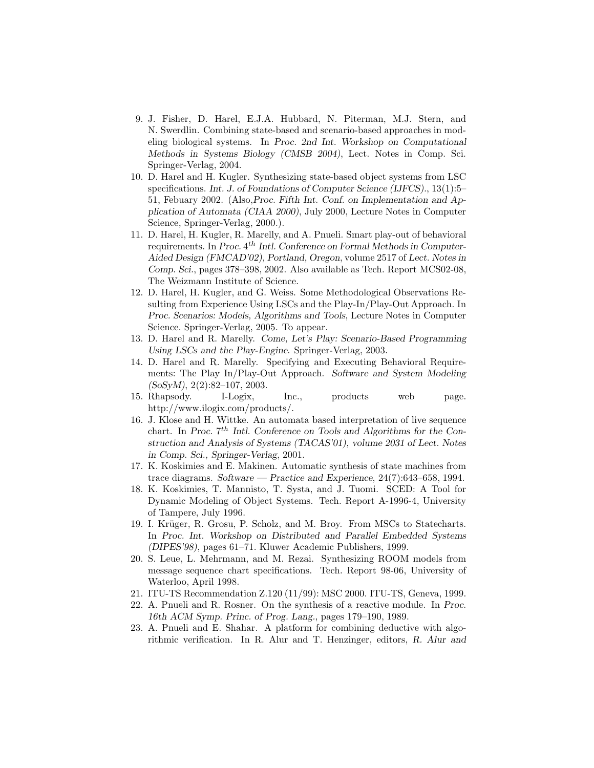- 9. J. Fisher, D. Harel, E.J.A. Hubbard, N. Piterman, M.J. Stern, and N. Swerdlin. Combining state-based and scenario-based approaches in modeling biological systems. In Proc. 2nd Int. Workshop on Computational Methods in Systems Biology (CMSB 2004), Lect. Notes in Comp. Sci. Springer-Verlag, 2004.
- 10. D. Harel and H. Kugler. Synthesizing state-based object systems from LSC specifications. Int. J. of Foundations of Computer Science (IJFCS)., 13(1):5– 51, Febuary 2002. (Also,Proc. Fifth Int. Conf. on Implementation and Application of Automata (CIAA 2000), July 2000, Lecture Notes in Computer Science, Springer-Verlag, 2000.).
- 11. D. Harel, H. Kugler, R. Marelly, and A. Pnueli. Smart play-out of behavioral requirements. In Proc. 4<sup>th</sup> Intl. Conference on Formal Methods in Computer-Aided Design (FMCAD'02), Portland, Oregon, volume 2517 of Lect. Notes in Comp. Sci., pages 378–398, 2002. Also available as Tech. Report MCS02-08, The Weizmann Institute of Science.
- 12. D. Harel, H. Kugler, and G. Weiss. Some Methodological Observations Resulting from Experience Using LSCs and the Play-In/Play-Out Approach. In Proc. Scenarios: Models, Algorithms and Tools, Lecture Notes in Computer Science. Springer-Verlag, 2005. To appear.
- 13. D. Harel and R. Marelly. Come, Let's Play: Scenario-Based Programming Using LSCs and the Play-Engine. Springer-Verlag, 2003.
- 14. D. Harel and R. Marelly. Specifying and Executing Behavioral Requirements: The Play In/Play-Out Approach. Software and System Modeling (SoSyM), 2(2):82–107, 2003.
- 15. Rhapsody. I-Logix, Inc., products web page. http://www.ilogix.com/products/.
- 16. J. Klose and H. Wittke. An automata based interpretation of live sequence chart. In Proc.  $7<sup>th</sup>$  Intl. Conference on Tools and Algorithms for the Construction and Analysis of Systems (TACAS'01), volume 2031 of Lect. Notes in Comp. Sci., Springer-Verlag, 2001.
- 17. K. Koskimies and E. Makinen. Automatic synthesis of state machines from trace diagrams. Software — Practice and Experience, 24(7):643–658, 1994.
- 18. K. Koskimies, T. Mannisto, T. Systa, and J. Tuomi. SCED: A Tool for Dynamic Modeling of Object Systems. Tech. Report A-1996-4, University of Tampere, July 1996.
- 19. I. Krüger, R. Grosu, P. Scholz, and M. Broy. From MSCs to Statecharts. In Proc. Int. Workshop on Distributed and Parallel Embedded Systems (DIPES'98), pages 61–71. Kluwer Academic Publishers, 1999.
- 20. S. Leue, L. Mehrmann, and M. Rezai. Synthesizing ROOM models from message sequence chart specifications. Tech. Report 98-06, University of Waterloo, April 1998.
- 21. ITU-TS Recommendation Z.120 (11/99): MSC 2000. ITU-TS, Geneva, 1999.
- 22. A. Pnueli and R. Rosner. On the synthesis of a reactive module. In Proc. 16th ACM Symp. Princ. of Prog. Lang., pages 179–190, 1989.
- 23. A. Pnueli and E. Shahar. A platform for combining deductive with algorithmic verification. In R. Alur and T. Henzinger, editors, R. Alur and